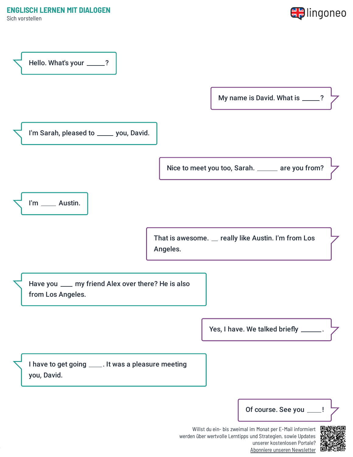Sich vorstellen